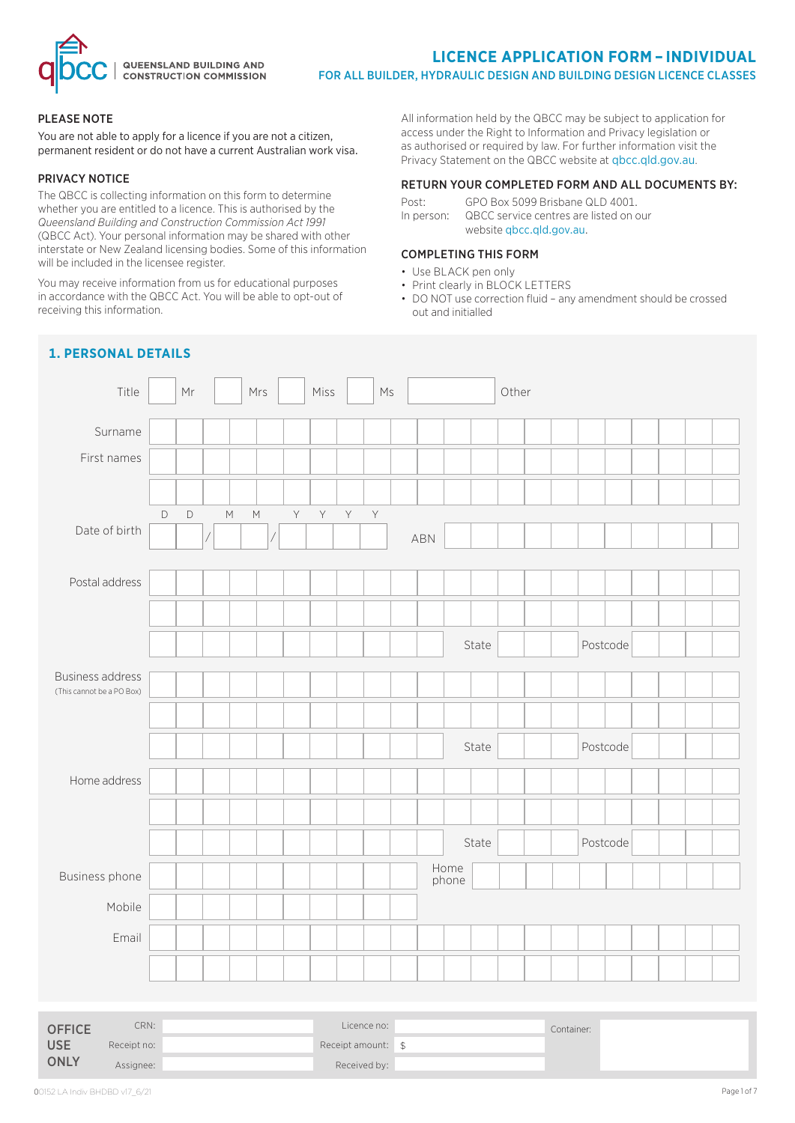

#### PLEASE NOTE

You are not able to apply for a licence if you are not a citizen, permanent resident or do not have a current Australian work visa.

#### PRIVACY NOTICE

The QBCC is collecting information on this form to determine whether you are entitled to a licence. This is authorised by the *Queensland Building and Construction Commission Act 1991*  (QBCC Act). Your personal information may be shared with other interstate or New Zealand licensing bodies. Some of this information will be included in the licensee register.

You may receive information from us for educational purposes in accordance with the QBCC Act. You will be able to opt-out of receiving this information.

All information held by the QBCC may be subject to application for access under the Right to Information and Privacy legislation or as authorised or required by law. For further information visit the Privacy Statement on the QBCC website at qbcc.qld.gov.au.

#### RETURN YOUR COMPLETED FORM AND ALL DOCUMENTS BY:

Post: GPO Box 5099 Brisbane QLD 4001. In person: QBCC service centres are listed on our website qbcc.qld.gov.au.

# COMPLETING THIS FORM

- Use BLACK pen only
- Print clearly in BLOCK LETTERS
- DO NOT use correction fluid any amendment should be crossed out and initialled

| Title                                                | Mr                         | Mrs                                                                                                                                                                                                                      |   | Miss |   | $\mathsf{M}\mathsf{s}$ |     |               |       | Other |            |          |  |  |  |
|------------------------------------------------------|----------------------------|--------------------------------------------------------------------------------------------------------------------------------------------------------------------------------------------------------------------------|---|------|---|------------------------|-----|---------------|-------|-------|------------|----------|--|--|--|
| Surname                                              |                            |                                                                                                                                                                                                                          |   |      |   |                        |     |               |       |       |            |          |  |  |  |
| First names                                          |                            |                                                                                                                                                                                                                          |   |      |   |                        |     |               |       |       |            |          |  |  |  |
|                                                      |                            |                                                                                                                                                                                                                          |   |      |   |                        |     |               |       |       |            |          |  |  |  |
|                                                      | $\mathsf D$<br>$\mathsf D$ | $\mathsf{M}% _{T}=\mathsf{M}_{T}\!\left( a,b\right) ,\ \mathsf{M}_{T}=\mathsf{M}_{T}\!\left( a,b\right) ,$<br>$\mathsf{M}% _{T}=\mathsf{M}_{T}\!\left( a,b\right) ,\ \mathsf{M}_{T}=\mathsf{M}_{T}\!\left( a,b\right) ,$ | Y | Y    | Y | Y                      |     |               |       |       |            |          |  |  |  |
| Date of birth                                        |                            |                                                                                                                                                                                                                          |   |      |   |                        | ABN |               |       |       |            |          |  |  |  |
| Postal address                                       |                            |                                                                                                                                                                                                                          |   |      |   |                        |     |               |       |       |            |          |  |  |  |
|                                                      |                            |                                                                                                                                                                                                                          |   |      |   |                        |     |               |       |       |            |          |  |  |  |
|                                                      |                            |                                                                                                                                                                                                                          |   |      |   |                        |     |               |       |       |            |          |  |  |  |
|                                                      |                            |                                                                                                                                                                                                                          |   |      |   |                        |     |               | State |       |            | Postcode |  |  |  |
| <b>Business address</b><br>(This cannot be a PO Box) |                            |                                                                                                                                                                                                                          |   |      |   |                        |     |               |       |       |            |          |  |  |  |
|                                                      |                            |                                                                                                                                                                                                                          |   |      |   |                        |     |               |       |       |            |          |  |  |  |
|                                                      |                            |                                                                                                                                                                                                                          |   |      |   |                        |     |               | State |       |            | Postcode |  |  |  |
|                                                      |                            |                                                                                                                                                                                                                          |   |      |   |                        |     |               |       |       |            |          |  |  |  |
| Home address                                         |                            |                                                                                                                                                                                                                          |   |      |   |                        |     |               |       |       |            |          |  |  |  |
|                                                      |                            |                                                                                                                                                                                                                          |   |      |   |                        |     |               |       |       |            |          |  |  |  |
|                                                      |                            |                                                                                                                                                                                                                          |   |      |   |                        |     |               | State |       |            | Postcode |  |  |  |
| Business phone                                       |                            |                                                                                                                                                                                                                          |   |      |   |                        |     | Home<br>phone |       |       |            |          |  |  |  |
| Mobile                                               |                            |                                                                                                                                                                                                                          |   |      |   |                        |     |               |       |       |            |          |  |  |  |
| Email                                                |                            |                                                                                                                                                                                                                          |   |      |   |                        |     |               |       |       |            |          |  |  |  |
|                                                      |                            |                                                                                                                                                                                                                          |   |      |   |                        |     |               |       |       |            |          |  |  |  |
|                                                      |                            |                                                                                                                                                                                                                          |   |      |   |                        |     |               |       |       |            |          |  |  |  |
| CRN:<br><b>OFFICE</b>                                |                            |                                                                                                                                                                                                                          |   |      |   | Licence no:            |     |               |       |       | Container: |          |  |  |  |

# **1. PERSONAL DETAILS**

Receipt no:  $\qquad \qquad$  Receipt amount:  $\qquad \qquad$  \$ Assignee:  $\qquad \qquad$  Received by:

USE **ONLY**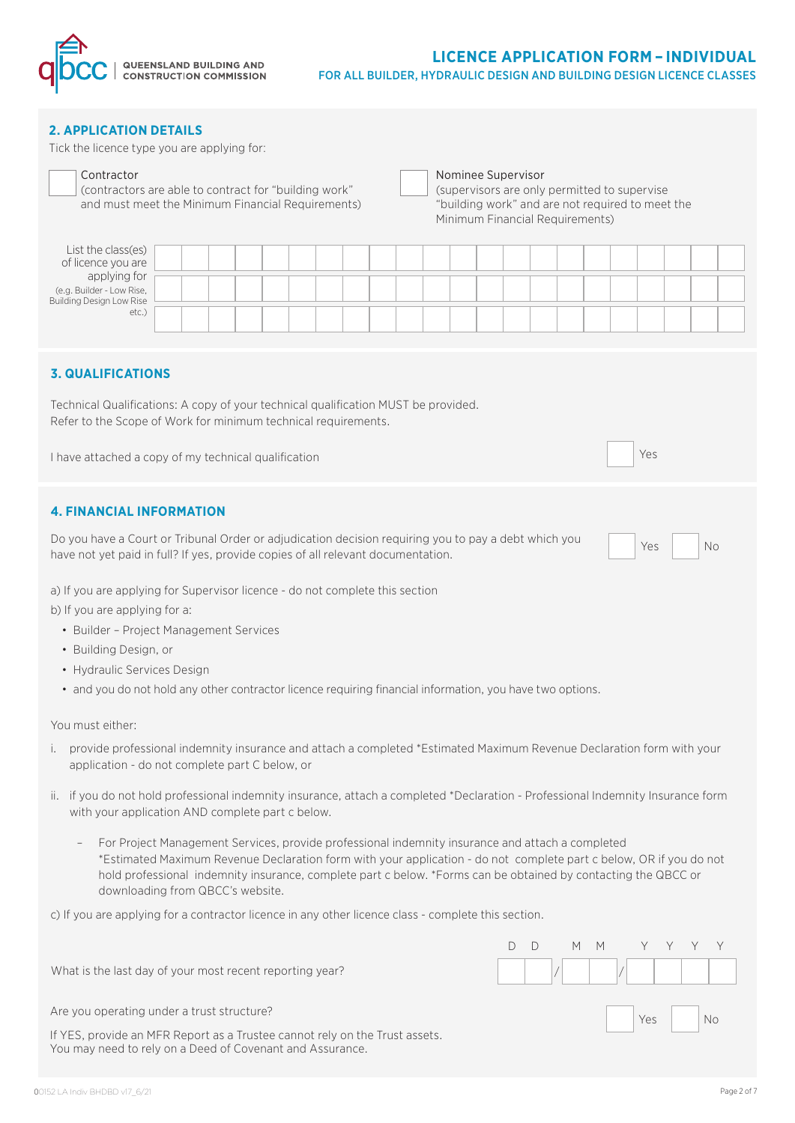

# **LICENCE APPLICATION FORM – INDIVIDUAL** FOR ALL BUILDER, HYDRAULIC DESIGN AND BUILDING DESIGN LICENCE CLASSES

#### **2. APPLICATION DETAILS**

Tick the licence type you are applying for:

| Contractor<br>(contractors are able to contract for "building work")<br>and must meet the Minimum Financial Requirements) |  |  |  |  |  | Nominee Supervisor |  |  | (supervisors are only permitted to supervise<br>"building work" and are not required to meet the<br>Minimum Financial Requirements) |  |  |  |
|---------------------------------------------------------------------------------------------------------------------------|--|--|--|--|--|--------------------|--|--|-------------------------------------------------------------------------------------------------------------------------------------|--|--|--|
| List the class(es)<br>of licence you are                                                                                  |  |  |  |  |  |                    |  |  |                                                                                                                                     |  |  |  |
| applying for<br>(e.g. Builder - Low Rise,<br><b>Building Design Low Rise</b>                                              |  |  |  |  |  |                    |  |  |                                                                                                                                     |  |  |  |
| $etc.$ )                                                                                                                  |  |  |  |  |  |                    |  |  |                                                                                                                                     |  |  |  |

# **3. QUALIFICATIONS**

Technical Qualifications: A copy of your technical qualification MUST be provided. Refer to the Scope of Work for minimum technical requirements.

I have attached a copy of my technical qualification Network Communication Network Communication Network Communication

#### **4. FINANCIAL INFORMATION**

Do you have a Court or Tribunal Order or adjudication decision requiring you to pay a debt which you bo you have a court of fribulial order or adjudication decision requiring you to pay a debt which you<br>have not yet paid in full? If yes, provide copies of all relevant documentation.

D D M M Y Y Y Y

a) If you are applying for Supervisor licence - do not complete this section

b) If you are applying for a:

- Builder Project Management Services
- Building Design, or
- Hydraulic Services Design
- and you do not hold any other contractor licence requiring financial information, you have two options.

You must either:

- i. provide professional indemnity insurance and attach a completed \*Estimated Maximum Revenue Declaration form with your application - do not complete part C below, or
- ii. if you do not hold professional indemnity insurance, attach a completed \*Declaration Professional Indemnity Insurance form with your application AND complete part c below.
	- For Project Management Services, provide professional indemnity insurance and attach a completed \*Estimated Maximum Revenue Declaration form with your application - do not complete part c below, OR if you do not hold professional indemnity insurance, complete part c below. \*Forms can be obtained by contacting the QBCC or downloading from QBCC's website.

c) If you are applying for a contractor licence in any other licence class - complete this section.

| What is the last day of your most recent reporting year?                                                                                 |  |  |               | $\mathcal{A}$ $\mathcal{A}$ $\mathcal{A}$ $\mathcal{A}$ $\mathcal{A}$ $\mathcal{A}$ $\mathcal{A}$ $\mathcal{A}$ $\mathcal{A}$ $\mathcal{A}$ $\mathcal{A}$ $\mathcal{A}$ $\mathcal{A}$ $\mathcal{A}$ $\mathcal{A}$ $\mathcal{A}$ $\mathcal{A}$ $\mathcal{A}$ $\mathcal{A}$ $\mathcal{A}$ $\mathcal{A}$ $\mathcal{A}$ $\mathcal{A}$ $\mathcal{A}$ $\mathcal{$ |
|------------------------------------------------------------------------------------------------------------------------------------------|--|--|---------------|-------------------------------------------------------------------------------------------------------------------------------------------------------------------------------------------------------------------------------------------------------------------------------------------------------------------------------------------------------------|
| Are you operating under a trust structure?                                                                                               |  |  | $Yes \t   No$ |                                                                                                                                                                                                                                                                                                                                                             |
| If YES, provide an MFR Report as a Trustee cannot rely on the Trust assets.<br>You may need to rely on a Deed of Covenant and Assurance. |  |  |               |                                                                                                                                                                                                                                                                                                                                                             |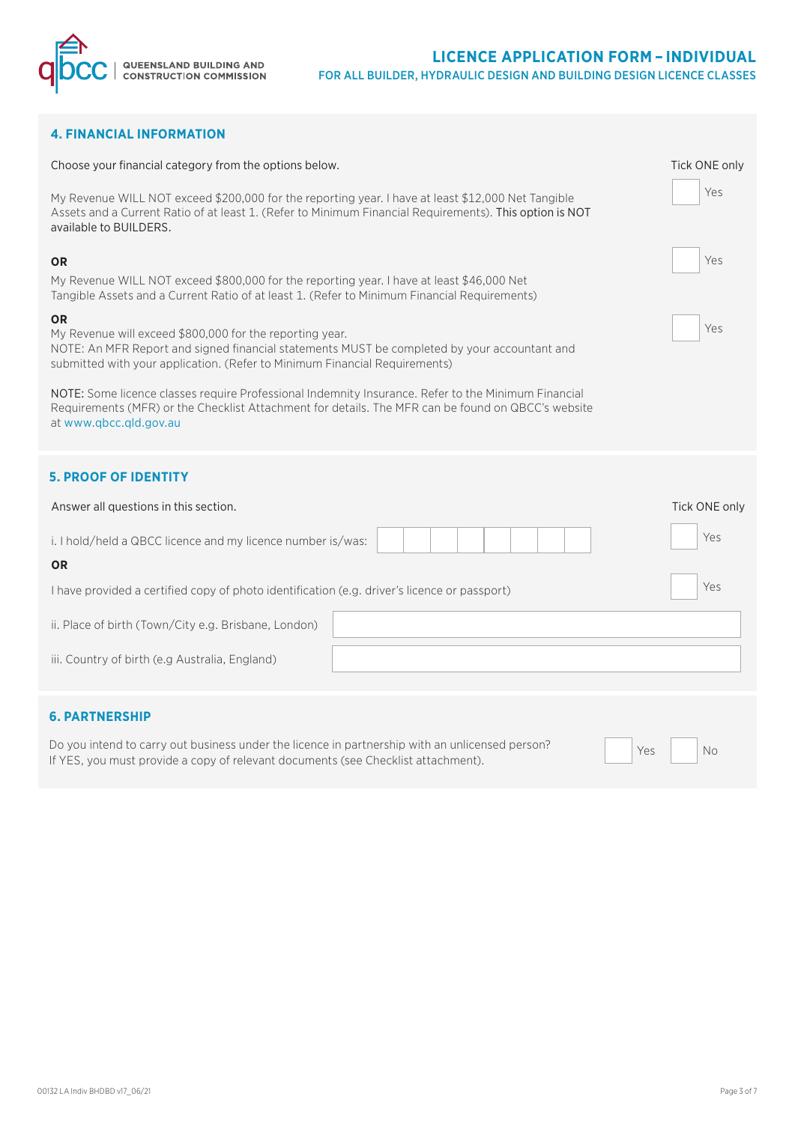

# **4. FINANCIAL INFORMATION**

| Choose your financial category from the options below.                                                                                                                                                                                                                                                                                                                                                                                                                                                                                                                                                                                                                                               | Tick ONE only |  |  |  |  |  |  |  |  |
|------------------------------------------------------------------------------------------------------------------------------------------------------------------------------------------------------------------------------------------------------------------------------------------------------------------------------------------------------------------------------------------------------------------------------------------------------------------------------------------------------------------------------------------------------------------------------------------------------------------------------------------------------------------------------------------------------|---------------|--|--|--|--|--|--|--|--|
| My Revenue WILL NOT exceed \$200,000 for the reporting year. I have at least \$12,000 Net Tangible<br>Assets and a Current Ratio of at least 1. (Refer to Minimum Financial Requirements). This option is NOT<br>available to BUILDERS.                                                                                                                                                                                                                                                                                                                                                                                                                                                              |               |  |  |  |  |  |  |  |  |
| <b>OR</b><br>My Revenue WILL NOT exceed \$800,000 for the reporting year. I have at least \$46,000 Net<br>Tangible Assets and a Current Ratio of at least 1. (Refer to Minimum Financial Requirements)<br><b>OR</b><br>My Revenue will exceed \$800,000 for the reporting year.<br>NOTE: An MFR Report and signed financial statements MUST be completed by your accountant and<br>submitted with your application. (Refer to Minimum Financial Requirements)<br>NOTE: Some licence classes require Professional Indemnity Insurance. Refer to the Minimum Financial<br>Requirements (MFR) or the Checklist Attachment for details. The MFR can be found on QBCC's website<br>at www.qbcc.qld.gov.au |               |  |  |  |  |  |  |  |  |
| <b>5. PROOF OF IDENTITY</b>                                                                                                                                                                                                                                                                                                                                                                                                                                                                                                                                                                                                                                                                          |               |  |  |  |  |  |  |  |  |
|                                                                                                                                                                                                                                                                                                                                                                                                                                                                                                                                                                                                                                                                                                      |               |  |  |  |  |  |  |  |  |
| Answer all questions in this section.                                                                                                                                                                                                                                                                                                                                                                                                                                                                                                                                                                                                                                                                | Tick ONE only |  |  |  |  |  |  |  |  |
| i. I hold/held a QBCC licence and my licence number is/was:                                                                                                                                                                                                                                                                                                                                                                                                                                                                                                                                                                                                                                          | Yes           |  |  |  |  |  |  |  |  |
| <b>OR</b>                                                                                                                                                                                                                                                                                                                                                                                                                                                                                                                                                                                                                                                                                            |               |  |  |  |  |  |  |  |  |
| I have provided a certified copy of photo identification (e.g. driver's licence or passport)                                                                                                                                                                                                                                                                                                                                                                                                                                                                                                                                                                                                         | Yes           |  |  |  |  |  |  |  |  |
| ii. Place of birth (Town/City e.g. Brisbane, London)                                                                                                                                                                                                                                                                                                                                                                                                                                                                                                                                                                                                                                                 |               |  |  |  |  |  |  |  |  |
| iii. Country of birth (e.g Australia, England)                                                                                                                                                                                                                                                                                                                                                                                                                                                                                                                                                                                                                                                       |               |  |  |  |  |  |  |  |  |
| <b>6. PARTNERSHIP</b>                                                                                                                                                                                                                                                                                                                                                                                                                                                                                                                                                                                                                                                                                |               |  |  |  |  |  |  |  |  |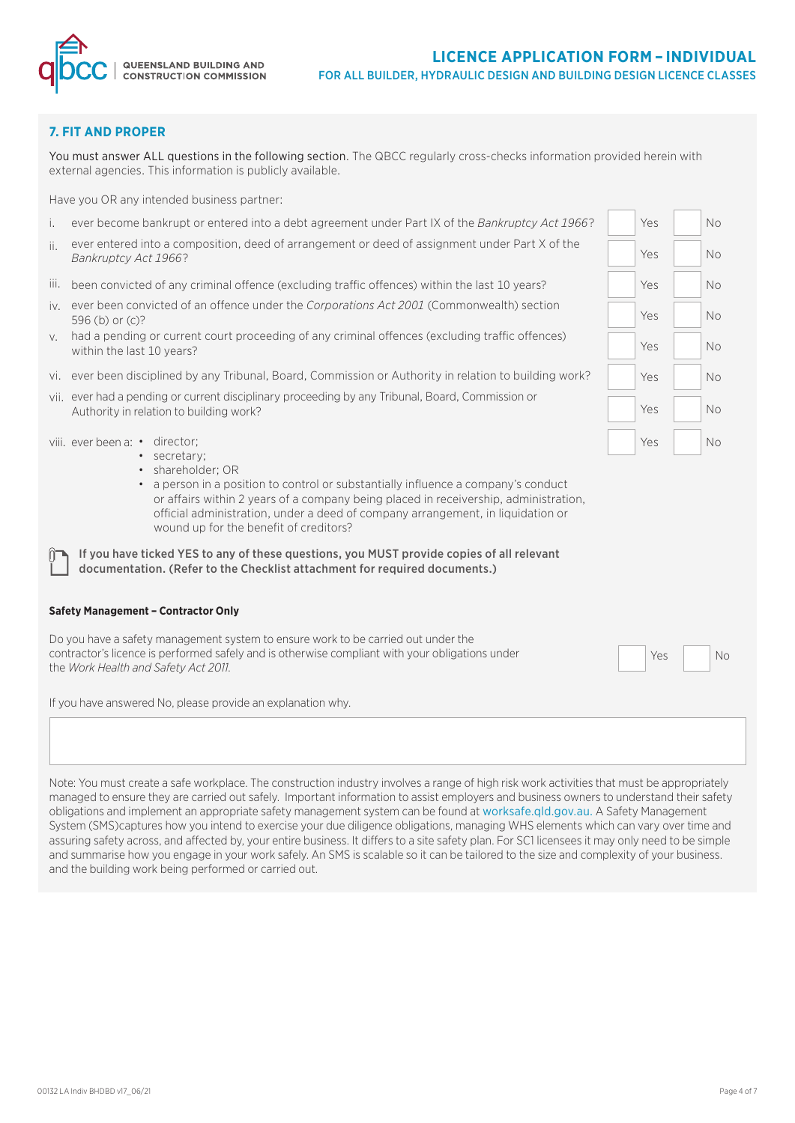

# **7. FIT AND PROPER**

You must answer ALL questions in the following section. The QBCC regularly cross-checks information provided herein with external agencies. This information is publicly available.

Have you OR any intended business partner:

- i. ever become bankrupt or entered into a debt agreement under Part IX of the *Bankruptcy Act 1966*?
- ii. ever entered into a composition, deed of arrangement or deed of assignment under Part X of the Pankruptcy Act 1966?<br>Bankruptcy Act 1966?
- iii. been convicted of any criminal offence (excluding traffic offences) within the last 10 years?  $\overline{Y}$  Yes No
- iv. ever been convicted of an offence under the *Corporations Act 2001* (Commonwealth) section  $596$  (b) or (c)?
- v. had a pending or current court proceeding of any criminal offences (excluding traffic offences) within the last 10 years?
- vi. ever been disciplined by any Tribunal, Board, Commission or Authority in relation to building work? Yes No
- vii. ever had a pending or current disciplinary proceeding by any Tribunal, Board, Commission or Authority in relation to building work? Authority in relation to building work?

viii. ever been a: • director;

- secretary;
- shareholder; OR
- a person in a position to control or substantially influence a company's conduct or affairs within 2 years of a company being placed in receivership, administration, official administration, under a deed of company arrangement, in liquidation or wound up for the benefit of creditors?

If you have ticked YES to any of these questions, you MUST provide copies of all relevant documentation. (Refer to the Checklist attachment for required documents.)

#### **Safety Management – Contractor Only**

Do you have a safety management system to ensure work to be carried out under the contractor's licence is performed safely and is otherwise compliant with your obligations under **the contract of the contract of the contract of the contract of the contract of the contract of the** *Work Health and Safety A* 

If you have answered No, please provide an explanation why.

Note: You must create a safe workplace. The construction industry involves a range of high risk work activities that must be appropriately managed to ensure they are carried out safely. Important information to assist employers and business owners to understand their safety obligations and implement an appropriate safety management system can be found at worksafe.qld.gov.au. A Safety Management System (SMS)captures how you intend to exercise your due diligence obligations, managing WHS elements which can vary over time and assuring safety across, and affected by, your entire business. It differs to a site safety plan. For SC1 licensees it may only need to be simple and summarise how you engage in your work safely. An SMS is scalable so it can be tailored to the size and complexity of your business. and the building work being performed or carried out.

Yes No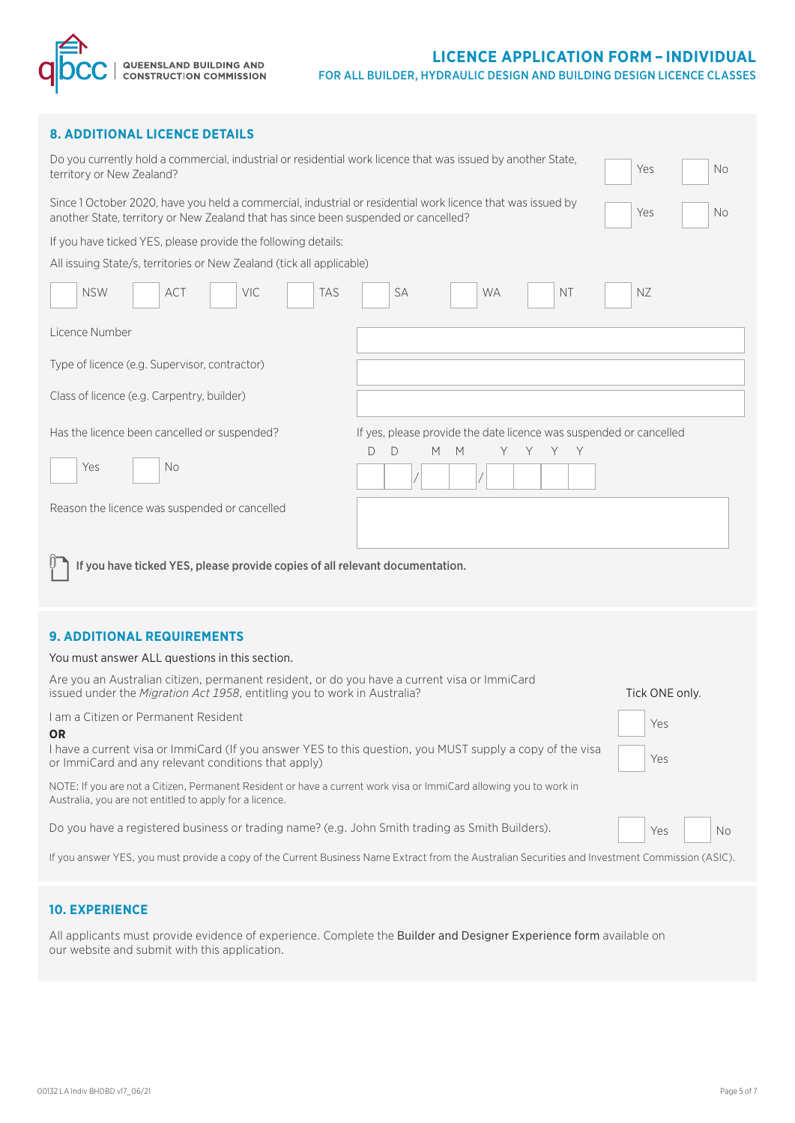# **LICENCE APPLICATION FORM – INDIVIDUAL**

FOR ALL BUILDER, HYDRAULIC DESIGN AND BUILDING DESIGN LICENCE CLASSES

| <b>8. ADDITIONAL LICENCE DETAILS</b>                                                                                                                                                               |                  |  |  |  |  |  |  |  |  |  |
|----------------------------------------------------------------------------------------------------------------------------------------------------------------------------------------------------|------------------|--|--|--|--|--|--|--|--|--|
| Do you currently hold a commercial, industrial or residential work licence that was issued by another State,<br>territory or New Zealand?                                                          | No.<br>Yes       |  |  |  |  |  |  |  |  |  |
| Since 1 October 2020, have you held a commercial, industrial or residential work licence that was issued by<br>another State, territory or New Zealand that has since been suspended or cancelled? | Yes<br>No.       |  |  |  |  |  |  |  |  |  |
| If you have ticked YES, please provide the following details:                                                                                                                                      |                  |  |  |  |  |  |  |  |  |  |
| All issuing State/s, territories or New Zealand (tick all applicable)                                                                                                                              |                  |  |  |  |  |  |  |  |  |  |
| <b>NSW</b><br>ACT<br>VIC<br><b>TAS</b><br><b>SA</b><br><b>WA</b>                                                                                                                                   | ΝZ<br><b>NT</b>  |  |  |  |  |  |  |  |  |  |
| Licence Number                                                                                                                                                                                     |                  |  |  |  |  |  |  |  |  |  |
| Type of licence (e.g. Supervisor, contractor)                                                                                                                                                      |                  |  |  |  |  |  |  |  |  |  |
| Class of licence (e.g. Carpentry, builder)                                                                                                                                                         |                  |  |  |  |  |  |  |  |  |  |
| Has the licence been cancelled or suspended?<br>If yes, please provide the date licence was suspended or cancelled<br>D<br>D<br>M<br>M<br>Y<br>Y<br>Y<br>Y<br>Yes<br><b>No</b>                     |                  |  |  |  |  |  |  |  |  |  |
| Reason the licence was suspended or cancelled                                                                                                                                                      |                  |  |  |  |  |  |  |  |  |  |
| If you have ticked YES, please provide copies of all relevant documentation.                                                                                                                       |                  |  |  |  |  |  |  |  |  |  |
| <b>9. ADDITIONAL REQUIREMENTS</b>                                                                                                                                                                  |                  |  |  |  |  |  |  |  |  |  |
| You must answer ALL questions in this section.                                                                                                                                                     |                  |  |  |  |  |  |  |  |  |  |
| Are you an Australian citizen, permanent resident, or do you have a current visa or ImmiCard<br>issued under the Migration Act 1958, entitling you to work in Australia?                           | Tick ONE only.   |  |  |  |  |  |  |  |  |  |
| I am a Citizen or Permanent Resident                                                                                                                                                               | Yes              |  |  |  |  |  |  |  |  |  |
| <b>OR</b><br>I have a current visa or ImmiCard (If you answer YES to this question, you MUST supply a copy of the visa<br>or ImmiCard and any relevant conditions that apply)                      | Yes              |  |  |  |  |  |  |  |  |  |
| NOTE: If you are not a Citizen, Permanent Resident or have a current work visa or ImmiCard allowing you to work in<br>Australia, you are not entitled to apply for a licence.                      |                  |  |  |  |  |  |  |  |  |  |
| Do you have a registered business or trading name? (e.g. John Smith trading as Smith Builders).                                                                                                    | Yes<br><b>No</b> |  |  |  |  |  |  |  |  |  |

If you answer YES, you must provide a copy of the Current Business Name Extract from the Australian Securities and Investment Commission (ASIC).

#### **10. EXPERIENCE**

**QUEENSLAND BUILDING AND<br>CONSTRUCTION COMMISSION** 

All applicants must provide evidence of experience. Complete the Builder and Designer Experience form available on our website and submit with this application.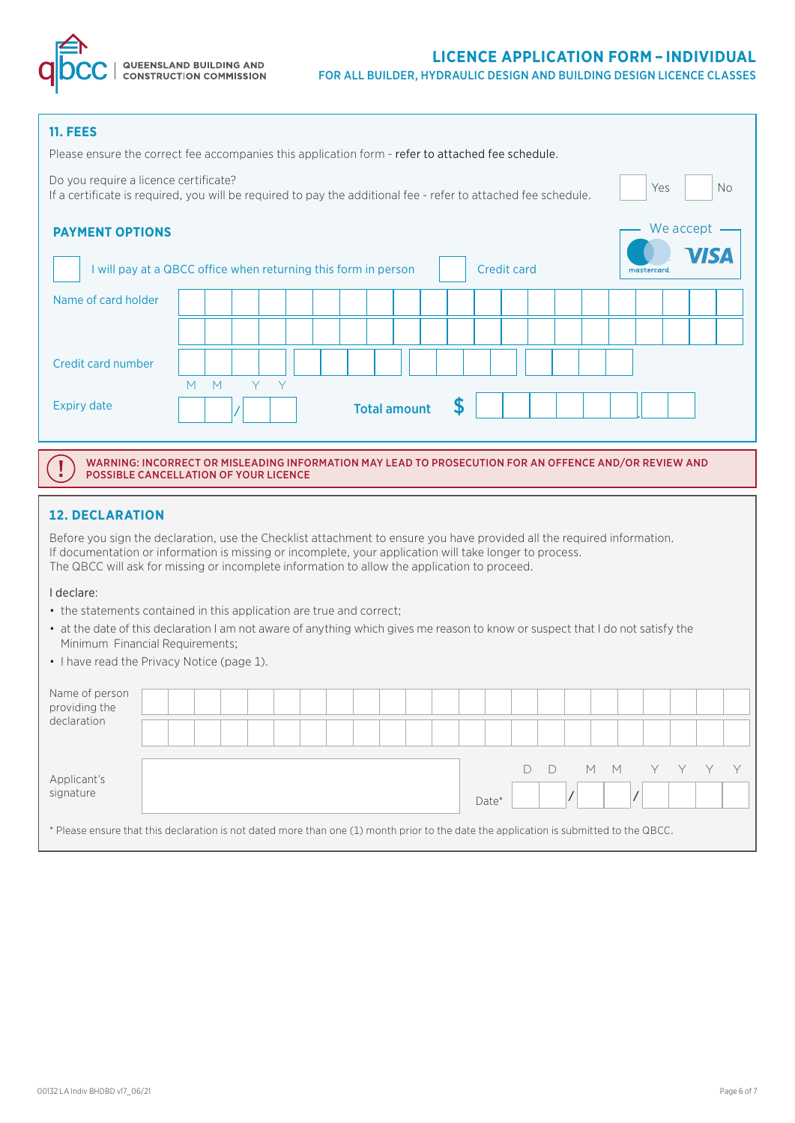

Yes

No

# **11. FEES**

| Please ensure the correct fee accompanies this application form - refer to attached fee schedule. |
|---------------------------------------------------------------------------------------------------|
|---------------------------------------------------------------------------------------------------|

Do you require a licence certificate? If a certificate is required, you will be required to pay the additional fee - refer to attached fee schedule.

| <b>PAYMENT OPTIONS</b><br>I will pay at a QBCC office when returning this form in person |   |   |     |  |                     |  |  | <b>Credit card</b> |  |  | mastercard. | We accept<br><b>VISA</b> |  |
|------------------------------------------------------------------------------------------|---|---|-----|--|---------------------|--|--|--------------------|--|--|-------------|--------------------------|--|
| Name of card holder                                                                      |   |   |     |  |                     |  |  |                    |  |  |             |                          |  |
|                                                                                          |   |   |     |  |                     |  |  |                    |  |  |             |                          |  |
| Credit card number                                                                       |   |   |     |  |                     |  |  |                    |  |  |             |                          |  |
| <b>Expiry date</b>                                                                       | M | M | Y Y |  | <b>Total amount</b> |  |  |                    |  |  |             |                          |  |

WARNING: INCORRECT OR MISLEADING INFORMATION MAY LEAD TO PROSECUTION FOR AN OFFENCE AND/OR REVIEW AND POSSIBLE CANCELLATION OF YOUR LICENCE

# **12. DECLARATION**

Before you sign the declaration, use the Checklist attachment to ensure you have provided all the required information. If documentation or information is missing or incomplete, your application will take longer to process. The QBCC will ask for missing or incomplete information to allow the application to proceed.

#### I declare:

Ţ

- the statements contained in this application are true and correct;
- at the date of this declaration I am not aware of anything which gives me reason to know or suspect that I do not satisfy the Minimum Financial Requirements;
- I have read the Privacy Notice (page 1).

| Y Y Y Y<br>$\Box$<br>$M$ $M$<br>Applicant's<br>signature<br>Date* | Name of person<br>providing the |  |  |  |  |  |  |  |  |  |  |  |
|-------------------------------------------------------------------|---------------------------------|--|--|--|--|--|--|--|--|--|--|--|
|                                                                   | declaration                     |  |  |  |  |  |  |  |  |  |  |  |
|                                                                   |                                 |  |  |  |  |  |  |  |  |  |  |  |

\* Please ensure that this declaration is not dated more than one (1) month prior to the date the application is submitted to the QBCC.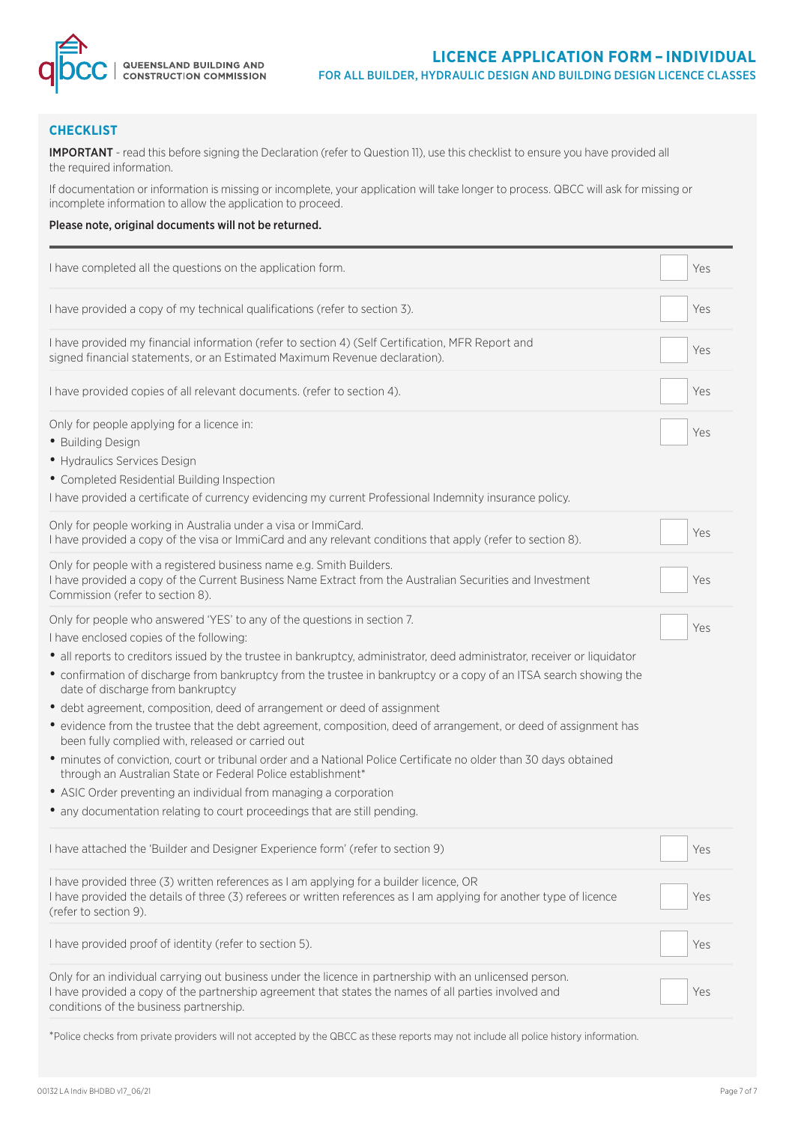

# **CHECKLIST**

IMPORTANT - read this before signing the Declaration (refer to Question 11), use this checklist to ensure you have provided all the required information.

If documentation or information is missing or incomplete, your application will take longer to process. QBCC will ask for missing or incomplete information to allow the application to proceed.

#### Please note, original documents will not be returned.

| I have completed all the questions on the application form.                                                                                                                                                                                                                                                                                                                                                                                                                                                                                                                                                                                                                                                                                                                                                                                                                                                                                                                                              | Yes |
|----------------------------------------------------------------------------------------------------------------------------------------------------------------------------------------------------------------------------------------------------------------------------------------------------------------------------------------------------------------------------------------------------------------------------------------------------------------------------------------------------------------------------------------------------------------------------------------------------------------------------------------------------------------------------------------------------------------------------------------------------------------------------------------------------------------------------------------------------------------------------------------------------------------------------------------------------------------------------------------------------------|-----|
| I have provided a copy of my technical qualifications (refer to section 3).                                                                                                                                                                                                                                                                                                                                                                                                                                                                                                                                                                                                                                                                                                                                                                                                                                                                                                                              | Yes |
| I have provided my financial information (refer to section 4) (Self Certification, MFR Report and<br>signed financial statements, or an Estimated Maximum Revenue declaration).                                                                                                                                                                                                                                                                                                                                                                                                                                                                                                                                                                                                                                                                                                                                                                                                                          | Yes |
| I have provided copies of all relevant documents. (refer to section 4).                                                                                                                                                                                                                                                                                                                                                                                                                                                                                                                                                                                                                                                                                                                                                                                                                                                                                                                                  | Yes |
| Only for people applying for a licence in:<br>• Building Design<br>• Hydraulics Services Design<br>• Completed Residential Building Inspection<br>I have provided a certificate of currency evidencing my current Professional Indemnity insurance policy.                                                                                                                                                                                                                                                                                                                                                                                                                                                                                                                                                                                                                                                                                                                                               | Yes |
| Only for people working in Australia under a visa or ImmiCard.<br>I have provided a copy of the visa or ImmiCard and any relevant conditions that apply (refer to section 8).                                                                                                                                                                                                                                                                                                                                                                                                                                                                                                                                                                                                                                                                                                                                                                                                                            | Yes |
| Only for people with a registered business name e.g. Smith Builders.<br>I have provided a copy of the Current Business Name Extract from the Australian Securities and Investment<br>Commission (refer to section 8).                                                                                                                                                                                                                                                                                                                                                                                                                                                                                                                                                                                                                                                                                                                                                                                    | Yes |
| Only for people who answered 'YES' to any of the questions in section 7.<br>I have enclosed copies of the following:<br>• all reports to creditors issued by the trustee in bankruptcy, administrator, deed administrator, receiver or liquidator<br>• confirmation of discharge from bankruptcy from the trustee in bankruptcy or a copy of an ITSA search showing the<br>date of discharge from bankruptcy<br>• debt agreement, composition, deed of arrangement or deed of assignment<br>• evidence from the trustee that the debt agreement, composition, deed of arrangement, or deed of assignment has<br>been fully complied with, released or carried out<br>· minutes of conviction, court or tribunal order and a National Police Certificate no older than 30 days obtained<br>through an Australian State or Federal Police establishment*<br>• ASIC Order preventing an individual from managing a corporation<br>• any documentation relating to court proceedings that are still pending. | Yes |
| I have attached the 'Builder and Designer Experience form' (refer to section 9)                                                                                                                                                                                                                                                                                                                                                                                                                                                                                                                                                                                                                                                                                                                                                                                                                                                                                                                          | Yes |
| I have provided three (3) written references as I am applying for a builder licence, OR<br>I have provided the details of three (3) referees or written references as I am applying for another type of licence<br>(refer to section 9).                                                                                                                                                                                                                                                                                                                                                                                                                                                                                                                                                                                                                                                                                                                                                                 | Yes |
| I have provided proof of identity (refer to section 5).                                                                                                                                                                                                                                                                                                                                                                                                                                                                                                                                                                                                                                                                                                                                                                                                                                                                                                                                                  | Yes |
| Only for an individual carrying out business under the licence in partnership with an unlicensed person.<br>I have provided a copy of the partnership agreement that states the names of all parties involved and<br>conditions of the business partnership.                                                                                                                                                                                                                                                                                                                                                                                                                                                                                                                                                                                                                                                                                                                                             | Yes |

\*Police checks from private providers will not accepted by the QBCC as these reports may not include all police history information.